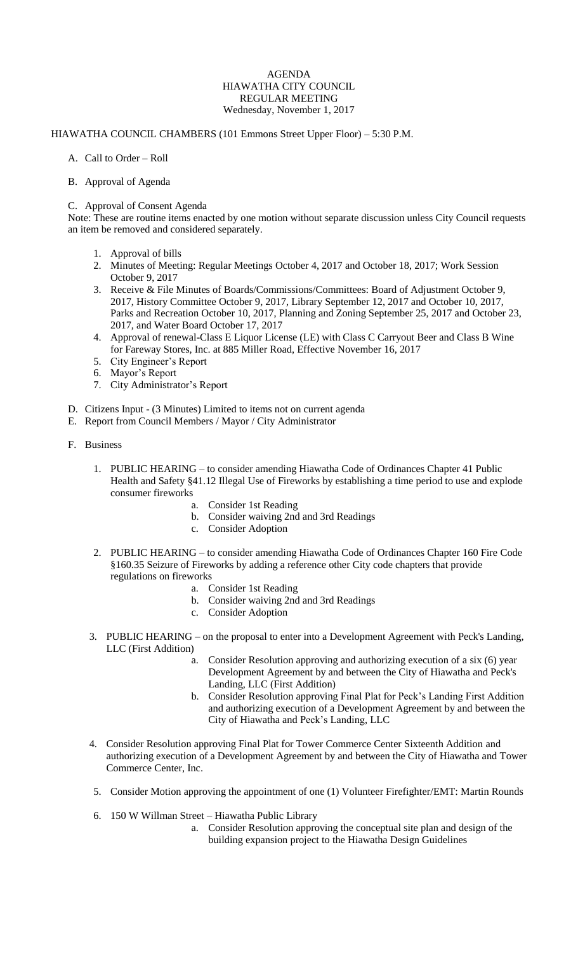## AGENDA HIAWATHA CITY COUNCIL REGULAR MEETING Wednesday, November 1, 2017

## HIAWATHA COUNCIL CHAMBERS (101 Emmons Street Upper Floor) – 5:30 P.M.

- A. Call to Order Roll
- B. Approval of Agenda

## C. Approval of Consent Agenda

Note: These are routine items enacted by one motion without separate discussion unless City Council requests an item be removed and considered separately.

- 1. Approval of bills
- 2. Minutes of Meeting: Regular Meetings October 4, 2017 and October 18, 2017; Work Session October 9, 2017
- 3. Receive & File Minutes of Boards/Commissions/Committees: Board of Adjustment October 9, 2017, History Committee October 9, 2017, Library September 12, 2017 and October 10, 2017, Parks and Recreation October 10, 2017, Planning and Zoning September 25, 2017 and October 23, 2017, and Water Board October 17, 2017
- 4. Approval of renewal-Class E Liquor License (LE) with Class C Carryout Beer and Class B Wine for Fareway Stores, Inc. at 885 Miller Road, Effective November 16, 2017
- 5. City Engineer's Report
- 6. Mayor's Report
- 7. City Administrator's Report
- D. Citizens Input (3 Minutes) Limited to items not on current agenda
- E. Report from Council Members / Mayor / City Administrator
- F. Business
	- 1. PUBLIC HEARING to consider amending Hiawatha Code of Ordinances Chapter 41 Public Health and Safety §41.12 Illegal Use of Fireworks by establishing a time period to use and explode consumer fireworks
		- a. Consider 1st Reading
		- b. Consider waiving 2nd and 3rd Readings
		- c. Consider Adoption
	- 2. PUBLIC HEARING to consider amending Hiawatha Code of Ordinances Chapter 160 Fire Code §160.35 Seizure of Fireworks by adding a reference other City code chapters that provide regulations on fireworks
		- a. Consider 1st Reading
		- b. Consider waiving 2nd and 3rd Readings
		- c. Consider Adoption
	- 3. PUBLIC HEARING on the proposal to enter into a Development Agreement with Peck's Landing, LLC (First Addition)
		- a. Consider Resolution approving and authorizing execution of a six (6) year Development Agreement by and between the City of Hiawatha and Peck's Landing, LLC (First Addition)
		- b. Consider Resolution approving Final Plat for Peck's Landing First Addition and authorizing execution of a Development Agreement by and between the City of Hiawatha and Peck's Landing, LLC
	- 4. Consider Resolution approving Final Plat for Tower Commerce Center Sixteenth Addition and authorizing execution of a Development Agreement by and between the City of Hiawatha and Tower Commerce Center, Inc.
	- 5. Consider Motion approving the appointment of one (1) Volunteer Firefighter/EMT: Martin Rounds
	- 6. 150 W Willman Street Hiawatha Public Library
		- a. Consider Resolution approving the conceptual site plan and design of the building expansion project to the Hiawatha Design Guidelines